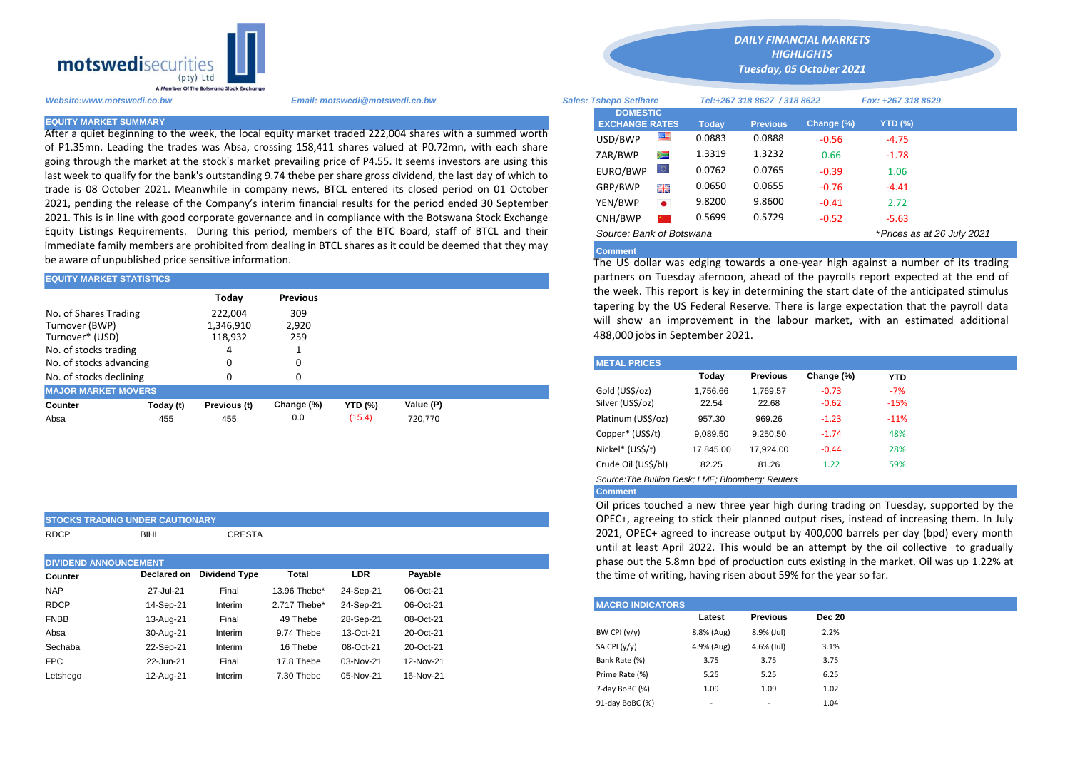

After a quiet beginning to the week, the local equity market traded 222,004 shares with a summed worth of P1.35mn. Leading the trades was Absa, crossing 158,411 shares valued at P0.72mn, with each share going through the market at the stock's market prevailing price of P4.55. It seems investors are using this last week to qualify for the bank's outstanding 9.74 thebe per share gross dividend, the last day of which to trade is 08 October 2021. Meanwhile in company news, BTCL entered its closed period on 01 October 2021, pending the release of the Company's interim financial results for the period ended 30 September 2021. This is in line with good corporate governance and in compliance with the Botswana Stock Exchange Equity Listings Requirements. During this period, members of the BTC Board, staff of BTCL and their immediate family members are prohibited from dealing in BTCL shares as it could be deemed that they may be aware of unpublished price sensitive information.

| <b>EQUITY MARKET STATISTICS</b>      |           |              |                 |                | partners on Tuesday afernoon, ahead of the payrolls report expected |                                                                                                                                                  |          |                 |            |            |  |  |  |
|--------------------------------------|-----------|--------------|-----------------|----------------|---------------------------------------------------------------------|--------------------------------------------------------------------------------------------------------------------------------------------------|----------|-----------------|------------|------------|--|--|--|
|                                      |           | Today        | <b>Previous</b> |                |                                                                     | the week. This report is key in determining the start date of the antic<br>tapering by the US Federal Reserve. There is large expectation that t |          |                 |            |            |  |  |  |
| No. of Shares Trading                |           | 222.004      | 309             |                |                                                                     |                                                                                                                                                  |          |                 |            |            |  |  |  |
| Turnover (BWP)<br>2,920<br>1,346,910 |           |              |                 |                | will show an improvement in the labour market, with an estima       |                                                                                                                                                  |          |                 |            |            |  |  |  |
| Turnover* (USD)<br>118,932<br>259    |           |              |                 |                |                                                                     | 488,000 jobs in September 2021.                                                                                                                  |          |                 |            |            |  |  |  |
| No. of stocks trading                |           |              |                 |                |                                                                     |                                                                                                                                                  |          |                 |            |            |  |  |  |
| No. of stocks advancing              |           |              |                 |                |                                                                     | <b>METAL PRICES.</b>                                                                                                                             |          |                 |            |            |  |  |  |
| No. of stocks declining              |           | $\Omega$     |                 |                |                                                                     |                                                                                                                                                  | Today    | <b>Previous</b> | Change (%) | <b>YTD</b> |  |  |  |
| <b>MAJOR MARKET MOVERS</b>           |           |              |                 |                |                                                                     | Gold (US\$/oz)                                                                                                                                   | 1.756.66 | 1.769.57        | $-0.73$    | $-7%$      |  |  |  |
| Counter                              | Today (t) | Previous (t) | Change (%)      | <b>YTD (%)</b> | Value (P)                                                           | Silver (US\$/oz)                                                                                                                                 | 22.54    | 22.68           | $-0.62$    | $-15%$     |  |  |  |
| Absa                                 | 455       | 455          | 0.0             | (15.4)         | 720.770                                                             | Platinum (US\$/oz)                                                                                                                               | 957.30   | 969.26          | $-1.23$    | $-11%$     |  |  |  |
|                                      |           |              |                 |                |                                                                     |                                                                                                                                                  | - --- -- |                 |            |            |  |  |  |

|                               | <b>STOCKS TRADING UNDER CAUTIONARY</b> |                      |                   |                             |                                                 | OPEC+, agreeing to stick their planned output rises,                                                   |               |  |  |  |  |  |
|-------------------------------|----------------------------------------|----------------------|-------------------|-----------------------------|-------------------------------------------------|--------------------------------------------------------------------------------------------------------|---------------|--|--|--|--|--|
| <b>RDCP</b>                   | <b>BIHL</b>                            | CRESTA               |                   |                             |                                                 | 2021, OPEC+ agreed to increase output by 400,000<br>until at least April 2022. This would be an attemp |               |  |  |  |  |  |
| <b>DIVIDEND ANNOUNCEMENT.</b> |                                        |                      |                   |                             |                                                 | phase out the 5.8mn bpd of production cuts existing                                                    |               |  |  |  |  |  |
| Counter                       | <b>Declared on</b>                     | <b>Dividend Type</b> | Total             | <b>LDR</b>                  | Payable                                         | the time of writing, having risen about 59% for the ye                                                 |               |  |  |  |  |  |
| <b>NAP</b>                    | 27-Jul-21                              | Final                | 13.96 Thebe*      | 24-Sep-21                   | 06-Oct-21                                       |                                                                                                        |               |  |  |  |  |  |
| <b>RDCP</b>                   | 14-Sep-21                              | Interim              | 2.717 Thebe*      | 24-Sep-21                   | 06-Oct-21                                       | <b>MACRO INDICATORS</b>                                                                                |               |  |  |  |  |  |
| <b>FNBB</b>                   | 13-Aug-21                              | Final                | 49 Thebe          | 28-Sep-21                   | 08-Oct-21                                       | <b>Previous</b><br>Latest                                                                              | <b>Dec 20</b> |  |  |  |  |  |
| Absa                          | 30-Aug-21                              | Interim              | 9.74 Thebe        | 13-Oct-21                   | 20-Oct-21                                       | BW CPI $(y/y)$<br>8.8% (Aug)<br>8.9% (Jul)                                                             | 2.2%          |  |  |  |  |  |
| Sechaba                       | 22-Sep-21                              | Interim              | 16 Thebe          | 08-Oct-21                   | 20-Oct-21                                       | SA CPI (y/y)<br>4.9% (Aug)<br>4.6% (Jul)                                                               | 3.1%          |  |  |  |  |  |
| <b>FPC</b>                    | 22-Jun-21                              | Final                | 17.8 Thebe        | 03-Nov-21                   | 12-Nov-21                                       | Bank Rate (%)<br>3.75<br>3.75                                                                          | 3.75          |  |  |  |  |  |
|                               | $\overline{a}$                         | .                    | — ^^ <del>T</del> | $\sim$ $\sim$ $\sim$ $\sim$ | $\overline{10}$ $\overline{11}$ $\overline{01}$ | $F \cap F$<br>n on<br>$D_{11}$ $D_{22}$ $D_{33}$ $D_{44}$ $D_{10}$                                     | $\sim$ $\sim$ |  |  |  |  |  |

*Website:www.motswedi.co.bw Email: motswedi@motswedi.co.bw Sales: Tshepo Setlhare Tel:+267 318 8627 / 318 8622 Fax: +267 318 8629*  **EQUITY MARKET SUMMARY Today Previous Change (%) YTD (%)**  $USD/BWP$   $\blacksquare$  0.0883 0.0888 -0.56 -4.75 ZAR/BWP 1.3319 1.3232 0.66 -1.78 EURO/BWP 0.0762 0.0765 -0.39 1.06 GBP/BWP **EMP** 0.0650 0.0655 -0.76 -4.41 YEN/BWP 9.8200 9.8600 -0.41 2.72 CNH/BWP 2 0.5699 0.5729 -0.52 -5.63 *Source: Bank of Botswana \*Prices as at 26 July 2021* **DOMESTIC EXCHANGE RATES**

*DAILY FINANCIAL MARKETS HIGHLIGHTS Tuesday, 05 October 2021* 

## **Comment**

The US dollar was edging towards a one-year high against a number of its trading partners on Tuesday afernoon, ahead of the payrolls report expected at the end of the week. This report is key in determining the start date of the anticipated stimulus tapering by the US Federal Reserve. There is large expectation that the payroll data will show an improvement in the labour market, with an estimated additional 488,000 jobs in September 2021.

| <b>METAL PRICES</b> |           |                 |            |            |
|---------------------|-----------|-----------------|------------|------------|
|                     | Today     | <b>Previous</b> | Change (%) | <b>YTD</b> |
| Gold (US\$/oz)      | 1.756.66  | 1.769.57        | $-0.73$    | $-7%$      |
| Silver (US\$/oz)    | 22.54     | 22.68           | $-0.62$    | $-15%$     |
| Platinum (US\$/oz)  | 957.30    | 969.26          | $-1.23$    | $-11%$     |
| Copper* (US\$/t)    | 9,089.50  | 9,250.50        | $-1.74$    | 48%        |
| Nickel* (US\$/t)    | 17,845.00 | 17.924.00       | $-0.44$    | 28%        |
| Crude Oil (US\$/bl) | 82.25     | 81.26           | 1.22       | 59%        |
|                     |           |                 |            |            |

*Source:The Bullion Desk; LME; Bloomberg; Reuters* 

## **Comment**

Oil prices touched a new three year high during trading on Tuesday, supported by the OPEC+, agreeing to stick their planned output rises, instead of increasing them. In July 2021, OPEC+ agreed to increase output by 400,000 barrels per day (bpd) every month until at least April 2022. This would be an attempt by the oil collective to gradually phase out the 5.8mn bpd of production cuts existing in the market. Oil was up 1.22% at the time of writing, having risen about 59% for the year so far.

| .        |           |         |              |           |           |                         |            |                          |               |
|----------|-----------|---------|--------------|-----------|-----------|-------------------------|------------|--------------------------|---------------|
| RDCP     | 14-Sep-21 | Interim | 2.717 Thebe* | 24-Sep-21 | 06-Oct-21 | <b>MACRO INDICATORS</b> |            |                          |               |
| FNBB     | 13-Aug-21 | Final   | 49 Thebe     | 28-Sep-21 | 08-Oct-21 |                         | Latest     | <b>Previous</b>          | <b>Dec 20</b> |
| Absa     | 30-Aug-21 | Interim | 9.74 Thebe   | 13-Oct-21 | 20-Oct-21 | BW CPI $(y/y)$          | 8.8% (Aug) | 8.9% (Jul)               | 2.2%          |
| Sechaba  | 22-Sep-21 | Interim | 16 Thebe     | 08-Oct-21 | 20-Oct-21 | SA CPI (y/y)            | 4.9% (Aug) | 4.6% (Jul)               | 3.1%          |
| FPC      | 22-Jun-21 | Final   | 17.8 Thebe   | 03-Nov-21 | 12-Nov-21 | Bank Rate (%)           | 3.75       | 3.75                     | 3.75          |
| Letshego | 12-Aug-21 | Interim | 7.30 Thebe   | 05-Nov-21 | 16-Nov-21 | Prime Rate (%)          | 5.25       | 5.25                     | 6.25          |
|          |           |         |              |           |           | 7-day BoBC (%)          | 1.09       | 1.09                     | 1.02          |
|          |           |         |              |           |           | 91-day BoBC (%)         |            | $\overline{\phantom{a}}$ | 1.04          |